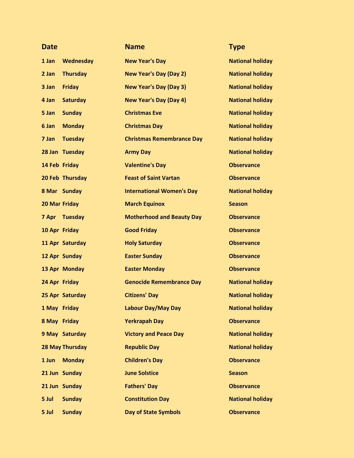| <b>Date</b>          |                        | <b>Name</b>                      | <b>Type</b>             |
|----------------------|------------------------|----------------------------------|-------------------------|
| 1 Jan                | <b>Wednesday</b>       | <b>New Year's Day</b>            | <b>National holiday</b> |
| 2 Jan                | <b>Thursday</b>        | <b>New Year's Day (Day 2)</b>    | <b>National holiday</b> |
| 3 Jan                | <b>Friday</b>          | <b>New Year's Day (Day 3)</b>    | <b>National holiday</b> |
| 4 Jan                | <b>Saturday</b>        | <b>New Year's Day (Day 4)</b>    | <b>National holiday</b> |
| 5 Jan                | <b>Sunday</b>          | <b>Christmas Eve</b>             | <b>National holiday</b> |
| 6 Jan                | <b>Monday</b>          | <b>Christmas Day</b>             | <b>National holiday</b> |
| 7 Jan                | <b>Tuesday</b>         | <b>Christmas Remembrance Day</b> | <b>National holiday</b> |
|                      | 28 Jan Tuesday         | <b>Army Day</b>                  | <b>National holiday</b> |
|                      | 14 Feb Friday          | <b>Valentine's Day</b>           | <b>Observance</b>       |
|                      | 20 Feb Thursday        | <b>Feast of Saint Vartan</b>     | <b>Observance</b>       |
|                      | 8 Mar Sunday           | <b>International Women's Day</b> | <b>National holiday</b> |
| <b>20 Mar Friday</b> |                        | <b>March Equinox</b>             | <b>Season</b>           |
| 7 Apr                | <b>Tuesday</b>         | <b>Motherhood and Beauty Day</b> | <b>Observance</b>       |
|                      | 10 Apr Friday          | <b>Good Friday</b>               | <b>Observance</b>       |
|                      | 11 Apr Saturday        | <b>Holy Saturday</b>             | <b>Observance</b>       |
|                      | 12 Apr Sunday          | <b>Easter Sunday</b>             | <b>Observance</b>       |
|                      | 13 Apr Monday          | <b>Easter Monday</b>             | <b>Observance</b>       |
| 24 Apr Friday        |                        | <b>Genocide Remembrance Day</b>  | <b>National holiday</b> |
|                      | 25 Apr Saturday        | <b>Citizens' Day</b>             | <b>National holiday</b> |
|                      | 1 May Friday           | Labour Day/May Day               | <b>National holiday</b> |
|                      | 8 May Friday           | <b>Yerkrapah Day</b>             | <b>Observance</b>       |
|                      | 9 May Saturday         | <b>Victory and Peace Day</b>     | <b>National holiday</b> |
|                      | <b>28 May Thursday</b> | <b>Republic Day</b>              | <b>National holiday</b> |
| 1 Jun                | <b>Monday</b>          | <b>Children's Day</b>            | <b>Observance</b>       |
|                      | 21 Jun Sunday          | <b>June Solstice</b>             | <b>Season</b>           |
|                      | 21 Jun Sunday          | <b>Fathers' Day</b>              | <b>Observance</b>       |
| 5 Jul                | <b>Sunday</b>          | <b>Constitution Day</b>          | <b>National holiday</b> |
| 5 Jul                | <b>Sunday</b>          | <b>Day of State Symbols</b>      | <b>Observance</b>       |